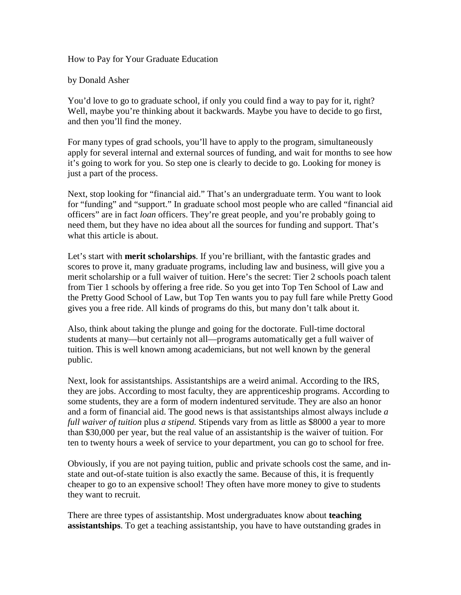How to Pay for Your Graduate Education

by Donald Asher

You'd love to go to graduate school, if only you could find a way to pay for it, right? Well, maybe you're thinking about it backwards. Maybe you have to decide to go first, and then you'll find the money.

For many types of grad schools, you'll have to apply to the program, simultaneously apply for several internal and external sources of funding, and wait for months to see how it's going to work for you. So step one is clearly to decide to go. Looking for money is just a part of the process.

Next, stop looking for "financial aid." That's an undergraduate term. You want to look for "funding" and "support." In graduate school most people who are called "financial aid officers" are in fact *loan* officers. They're great people, and you're probably going to need them, but they have no idea about all the sources for funding and support. That's what this article is about.

Let's start with **merit scholarships**. If you're brilliant, with the fantastic grades and scores to prove it, many graduate programs, including law and business, will give you a merit scholarship or a full waiver of tuition. Here's the secret: Tier 2 schools poach talent from Tier 1 schools by offering a free ride. So you get into Top Ten School of Law and the Pretty Good School of Law, but Top Ten wants you to pay full fare while Pretty Good gives you a free ride. All kinds of programs do this, but many don't talk about it.

Also, think about taking the plunge and going for the doctorate. Full-time doctoral students at many—but certainly not all—programs automatically get a full waiver of tuition. This is well known among academicians, but not well known by the general public.

Next, look for assistantships. Assistantships are a weird animal. According to the IRS, they are jobs. According to most faculty, they are apprenticeship programs. According to some students, they are a form of modern indentured servitude. They are also an honor and a form of financial aid. The good news is that assistantships almost always include *a full waiver of tuition* plus *a stipend.* Stipends vary from as little as \$8000 a year to more than \$30,000 per year, but the real value of an assistantship is the waiver of tuition. For ten to twenty hours a week of service to your department, you can go to school for free.

Obviously, if you are not paying tuition, public and private schools cost the same, and instate and out-of-state tuition is also exactly the same. Because of this, it is frequently cheaper to go to an expensive school! They often have more money to give to students they want to recruit.

There are three types of assistantship. Most undergraduates know about **teaching assistantships**. To get a teaching assistantship, you have to have outstanding grades in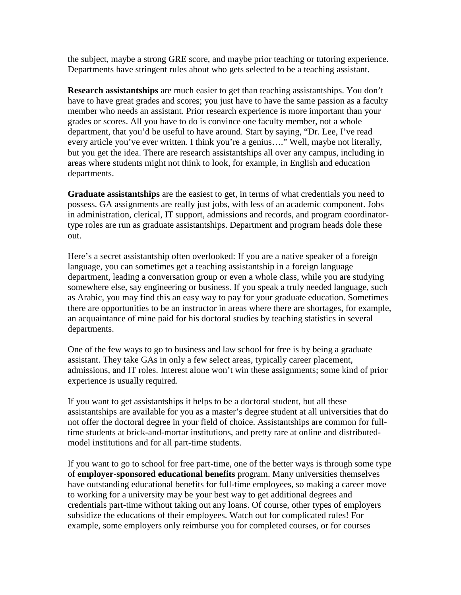the subject, maybe a strong GRE score, and maybe prior teaching or tutoring experience. Departments have stringent rules about who gets selected to be a teaching assistant.

**Research assistantships** are much easier to get than teaching assistantships. You don't have to have great grades and scores; you just have to have the same passion as a faculty member who needs an assistant. Prior research experience is more important than your grades or scores. All you have to do is convince one faculty member, not a whole department, that you'd be useful to have around. Start by saying, "Dr. Lee, I've read every article you've ever written. I think you're a genius…." Well, maybe not literally, but you get the idea. There are research assistantships all over any campus, including in areas where students might not think to look, for example, in English and education departments.

**Graduate assistantships** are the easiest to get, in terms of what credentials you need to possess. GA assignments are really just jobs, with less of an academic component. Jobs in administration, clerical, IT support, admissions and records, and program coordinatortype roles are run as graduate assistantships. Department and program heads dole these out.

Here's a secret assistantship often overlooked: If you are a native speaker of a foreign language, you can sometimes get a teaching assistantship in a foreign language department, leading a conversation group or even a whole class, while you are studying somewhere else, say engineering or business. If you speak a truly needed language, such as Arabic, you may find this an easy way to pay for your graduate education. Sometimes there are opportunities to be an instructor in areas where there are shortages, for example, an acquaintance of mine paid for his doctoral studies by teaching statistics in several departments.

One of the few ways to go to business and law school for free is by being a graduate assistant. They take GAs in only a few select areas, typically career placement, admissions, and IT roles. Interest alone won't win these assignments; some kind of prior experience is usually required.

If you want to get assistantships it helps to be a doctoral student, but all these assistantships are available for you as a master's degree student at all universities that do not offer the doctoral degree in your field of choice. Assistantships are common for fulltime students at brick-and-mortar institutions, and pretty rare at online and distributedmodel institutions and for all part-time students.

If you want to go to school for free part-time, one of the better ways is through some type of **employer-sponsored educational benefits** program. Many universities themselves have outstanding educational benefits for full-time employees, so making a career move to working for a university may be your best way to get additional degrees and credentials part-time without taking out any loans. Of course, other types of employers subsidize the educations of their employees. Watch out for complicated rules! For example, some employers only reimburse you for completed courses, or for courses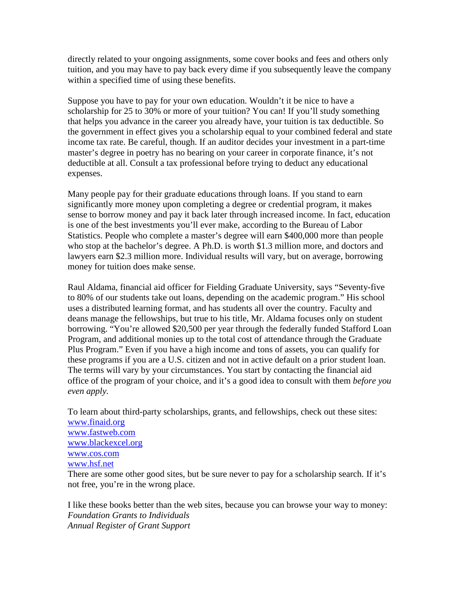directly related to your ongoing assignments, some cover books and fees and others only tuition, and you may have to pay back every dime if you subsequently leave the company within a specified time of using these benefits.

Suppose you have to pay for your own education. Wouldn't it be nice to have a scholarship for 25 to 30% or more of your tuition? You can! If you'll study something that helps you advance in the career you already have, your tuition is tax deductible. So the government in effect gives you a scholarship equal to your combined federal and state income tax rate. Be careful, though. If an auditor decides your investment in a part-time master's degree in poetry has no bearing on your career in corporate finance, it's not deductible at all. Consult a tax professional before trying to deduct any educational expenses.

Many people pay for their graduate educations through loans. If you stand to earn significantly more money upon completing a degree or credential program, it makes sense to borrow money and pay it back later through increased income. In fact, education is one of the best investments you'll ever make, according to the Bureau of Labor Statistics. People who complete a master's degree will earn \$400,000 more than people who stop at the bachelor's degree. A Ph.D. is worth \$1.3 million more, and doctors and lawyers earn \$2.3 million more. Individual results will vary, but on average, borrowing money for tuition does make sense.

Raul Aldama, financial aid officer for Fielding Graduate University, says "Seventy-five to 80% of our students take out loans, depending on the academic program." His school uses a distributed learning format, and has students all over the country. Faculty and deans manage the fellowships, but true to his title, Mr. Aldama focuses only on student borrowing. "You're allowed \$20,500 per year through the federally funded Stafford Loan Program, and additional monies up to the total cost of attendance through the Graduate Plus Program." Even if you have a high income and tons of assets, you can qualify for these programs if you are a U.S. citizen and not in active default on a prior student loan. The terms will vary by your circumstances. You start by contacting the financial aid office of the program of your choice, and it's a good idea to consult with them *before you even apply.*

To learn about third-party scholarships, grants, and fellowships, check out these sites: [www.finaid.org](http://www.finaid.org/) [www.fastweb.com](http://www.fastweb.com/) [www.blackexcel.org](http://www.blackexcel.org/) [www.cos.com](http://www.cos.com/) [www.hsf.net](http://www.hsf.net/)

There are some other good sites, but be sure never to pay for a scholarship search. If it's not free, you're in the wrong place.

I like these books better than the web sites, because you can browse your way to money: *Foundation Grants to Individuals Annual Register of Grant Support*